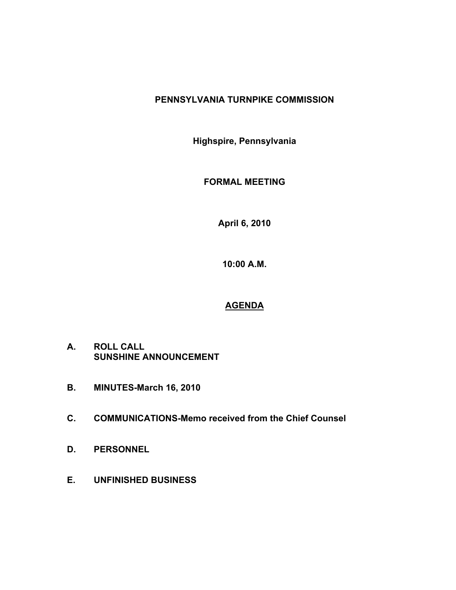# **PENNSYLVANIA TURNPIKE COMMISSION**

**Highspire, Pennsylvania**

**FORMAL MEETING**

**April 6, 2010**

**10:00 A.M.**

# **AGENDA**

- **A. ROLL CALL SUNSHINE ANNOUNCEMENT**
- **B. MINUTES-March 16, 2010**
- **C. COMMUNICATIONS-Memo received from the Chief Counsel**
- **D. PERSONNEL**
- **E. UNFINISHED BUSINESS**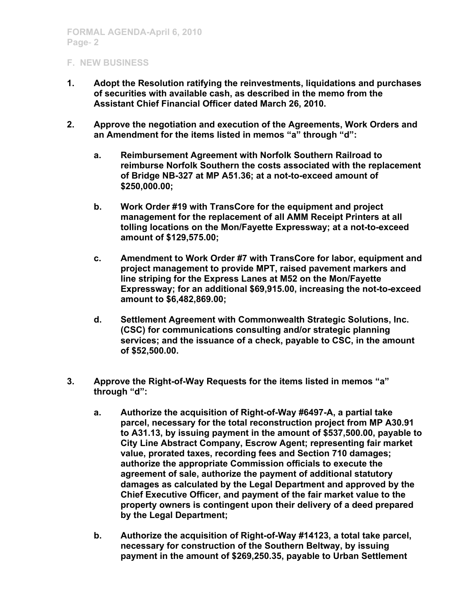- **1. Adopt the Resolution ratifying the reinvestments, liquidations and purchases of securities with available cash, as described in the memo from the Assistant Chief Financial Officer dated March 26, 2010.**
- **2. Approve the negotiation and execution of the Agreements, Work Orders and an Amendment for the items listed in memos "a" through "d":**
	- **a. Reimbursement Agreement with Norfolk Southern Railroad to reimburse Norfolk Southern the costs associated with the replacement of Bridge NB-327 at MP A51.36; at a not-to-exceed amount of \$250,000.00;**
	- **b. Work Order #19 with TransCore for the equipment and project management for the replacement of all AMM Receipt Printers at all tolling locations on the Mon/Fayette Expressway; at a not-to-exceed amount of \$129,575.00;**
	- **c. Amendment to Work Order #7 with TransCore for labor, equipment and project management to provide MPT, raised pavement markers and line striping for the Express Lanes at M52 on the Mon/Fayette Expressway; for an additional \$69,915.00, increasing the not-to-exceed amount to \$6,482,869.00;**
	- **d. Settlement Agreement with Commonwealth Strategic Solutions, Inc. (CSC) for communications consulting and/or strategic planning services; and the issuance of a check, payable to CSC, in the amount of \$52,500.00.**
- **3. Approve the Right-of-Way Requests for the items listed in memos "a" through "d":**
	- **a. Authorize the acquisition of Right-of-Way #6497-A, a partial take parcel, necessary for the total reconstruction project from MP A30.91 to A31.13, by issuing payment in the amount of \$537,500.00, payable to City Line Abstract Company, Escrow Agent; representing fair market value, prorated taxes, recording fees and Section 710 damages; authorize the appropriate Commission officials to execute the agreement of sale, authorize the payment of additional statutory damages as calculated by the Legal Department and approved by the Chief Executive Officer, and payment of the fair market value to the property owners is contingent upon their delivery of a deed prepared by the Legal Department;**
	- **b. Authorize the acquisition of Right-of-Way #14123, a total take parcel, necessary for construction of the Southern Beltway, by issuing payment in the amount of \$269,250.35, payable to Urban Settlement**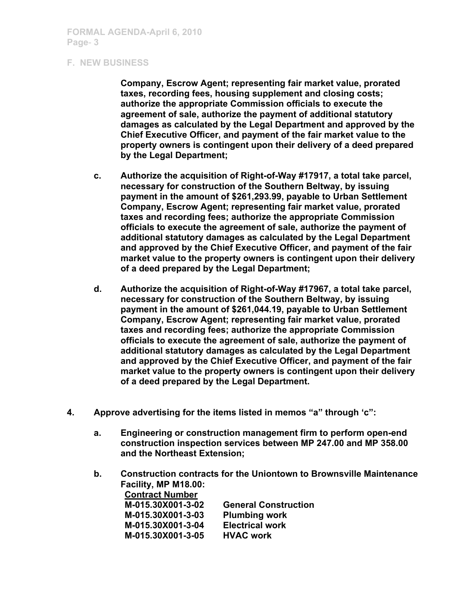**Company, Escrow Agent; representing fair market value, prorated taxes, recording fees, housing supplement and closing costs; authorize the appropriate Commission officials to execute the agreement of sale, authorize the payment of additional statutory damages as calculated by the Legal Department and approved by the Chief Executive Officer, and payment of the fair market value to the property owners is contingent upon their delivery of a deed prepared by the Legal Department;**

- **c. Authorize the acquisition of Right-of-Way #17917, a total take parcel, necessary for construction of the Southern Beltway, by issuing payment in the amount of \$261,293.99, payable to Urban Settlement Company, Escrow Agent; representing fair market value, prorated taxes and recording fees; authorize the appropriate Commission officials to execute the agreement of sale, authorize the payment of additional statutory damages as calculated by the Legal Department and approved by the Chief Executive Officer, and payment of the fair market value to the property owners is contingent upon their delivery of a deed prepared by the Legal Department;**
- **d. Authorize the acquisition of Right-of-Way #17967, a total take parcel, necessary for construction of the Southern Beltway, by issuing payment in the amount of \$261,044.19, payable to Urban Settlement Company, Escrow Agent; representing fair market value, prorated taxes and recording fees; authorize the appropriate Commission officials to execute the agreement of sale, authorize the payment of additional statutory damages as calculated by the Legal Department and approved by the Chief Executive Officer, and payment of the fair market value to the property owners is contingent upon their delivery of a deed prepared by the Legal Department.**
- **4. Approve advertising for the items listed in memos "a" through 'c":**
	- **a. Engineering or construction management firm to perform open-end construction inspection services between MP 247.00 and MP 358.00 and the Northeast Extension;**
	- **b. Construction contracts for the Uniontown to Brownsville Maintenance Facility, MP M18.00: Contract Number M-015.30X001-3-02 General Construction**

| <b>UBIIBI AL UDIISU UCUL</b> |
|------------------------------|
| <b>Plumbing work</b>         |
| <b>Electrical work</b>       |
| <b>HVAC work</b>             |
|                              |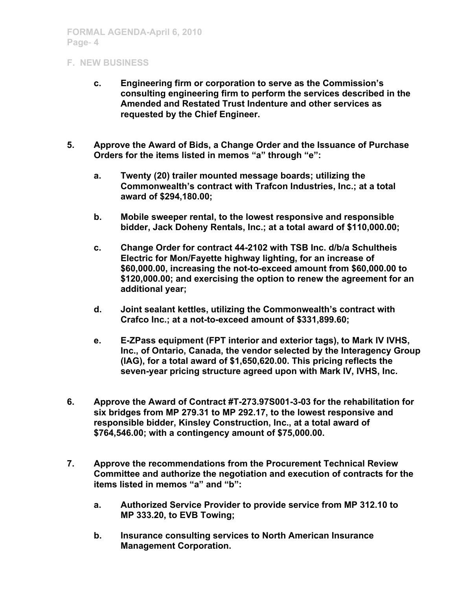- **c. Engineering firm or corporation to serve as the Commission's consulting engineering firm to perform the services described in the Amended and Restated Trust Indenture and other services as requested by the Chief Engineer.**
- **5. Approve the Award of Bids, a Change Order and the Issuance of Purchase Orders for the items listed in memos "a" through "e":**
	- **a. Twenty (20) trailer mounted message boards; utilizing the Commonwealth's contract with Trafcon Industries, Inc.; at a total award of \$294,180.00;**
	- **b. Mobile sweeper rental, to the lowest responsive and responsible bidder, Jack Doheny Rentals, Inc.; at a total award of \$110,000.00;**
	- **c. Change Order for contract 44-2102 with TSB Inc. d/b/a Schultheis Electric for Mon/Fayette highway lighting, for an increase of \$60,000.00, increasing the not-to-exceed amount from \$60,000.00 to \$120,000.00; and exercising the option to renew the agreement for an additional year;**
	- **d. Joint sealant kettles, utilizing the Commonwealth's contract with Crafco Inc.; at a not-to-exceed amount of \$331,899.60;**
	- **e. E-ZPass equipment (FPT interior and exterior tags), to Mark IV IVHS, Inc., of Ontario, Canada, the vendor selected by the Interagency Group (IAG), for a total award of \$1,650,620.00. This pricing reflects the seven-year pricing structure agreed upon with Mark IV, IVHS, Inc.**
- **6. Approve the Award of Contract #T-273.97S001-3-03 for the rehabilitation for six bridges from MP 279.31 to MP 292.17, to the lowest responsive and responsible bidder, Kinsley Construction, Inc., at a total award of \$764,546.00; with a contingency amount of \$75,000.00.**
- **7. Approve the recommendations from the Procurement Technical Review Committee and authorize the negotiation and execution of contracts for the items listed in memos "a" and "b":** 
	- **a. Authorized Service Provider to provide service from MP 312.10 to MP 333.20, to EVB Towing;**
	- **b. Insurance consulting services to North American Insurance Management Corporation.**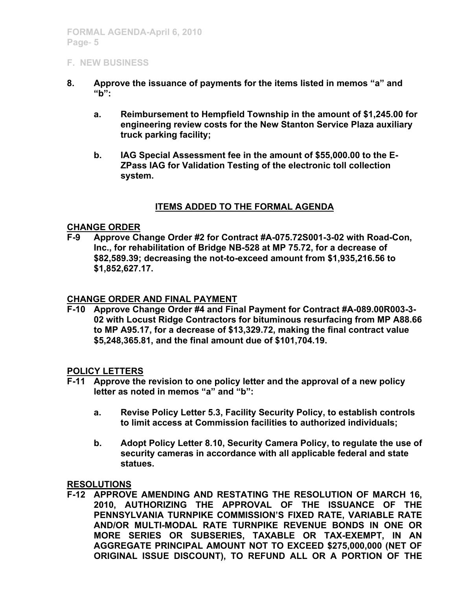- **8. Approve the issuance of payments for the items listed in memos "a" and "b":**
	- **a. Reimbursement to Hempfield Township in the amount of \$1,245.00 for engineering review costs for the New Stanton Service Plaza auxiliary truck parking facility;**
	- **b. IAG Special Assessment fee in the amount of \$55,000.00 to the E-ZPass IAG for Validation Testing of the electronic toll collection system.**

## **ITEMS ADDED TO THE FORMAL AGENDA**

### **CHANGE ORDER**

**F-9 Approve Change Order #2 for Contract #A-075.72S001-3-02 with Road-Con, Inc., for rehabilitation of Bridge NB-528 at MP 75.72, for a decrease of \$82,589.39; decreasing the not-to-exceed amount from \$1,935,216.56 to \$1,852,627.17.**

### **CHANGE ORDER AND FINAL PAYMENT**

**F-10 Approve Change Order #4 and Final Payment for Contract #A-089.00R003-3- 02 with Locust Ridge Contractors for bituminous resurfacing from MP A88.66 to MP A95.17, for a decrease of \$13,329.72, making the final contract value \$5,248,365.81, and the final amount due of \$101,704.19.**

### **POLICY LETTERS**

- **F-11 Approve the revision to one policy letter and the approval of a new policy letter as noted in memos "a" and "b":**
	- **a. Revise Policy Letter 5.3, Facility Security Policy, to establish controls to limit access at Commission facilities to authorized individuals;**
	- **b. Adopt Policy Letter 8.10, Security Camera Policy, to regulate the use of security cameras in accordance with all applicable federal and state statues.**

### **RESOLUTIONS**

**F-12 APPROVE AMENDING AND RESTATING THE RESOLUTION OF MARCH 16, 2010, AUTHORIZING THE APPROVAL OF THE ISSUANCE OF THE PENNSYLVANIA TURNPIKE COMMISSION'S FIXED RATE, VARIABLE RATE AND/OR MULTI-MODAL RATE TURNPIKE REVENUE BONDS IN ONE OR MORE SERIES OR SUBSERIES, TAXABLE OR TAX-EXEMPT, IN AN AGGREGATE PRINCIPAL AMOUNT NOT TO EXCEED \$275,000,000 (NET OF ORIGINAL ISSUE DISCOUNT), TO REFUND ALL OR A PORTION OF THE**